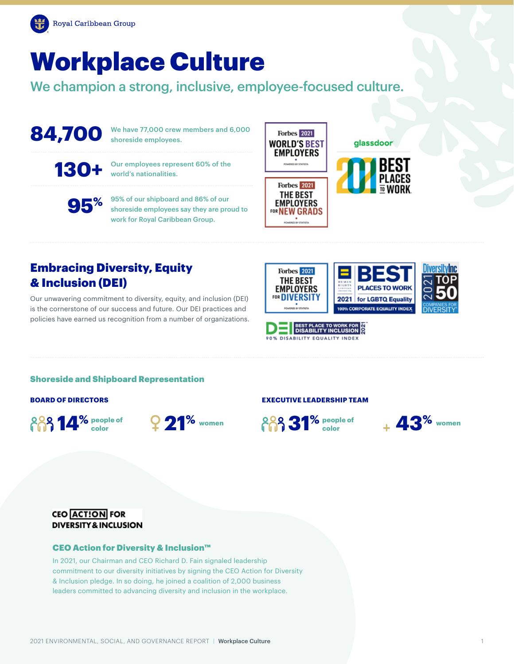

# Workplace Culture

We champion a strong, inclusive, employee-focused culture.

84,700 We have 77,000 crew members and 6,000 shoreside employees.

130+ Our employees represent 60% of the world's nationalities.



**95%** 95% of our shipboard and 86% of our shoreside employees say they are proud to work for Royal Caribbean Group.



#### glassdoor



**PLACES TO WORK** 

2021 for LGBTQ Equality



# Embracing Diversity, Equity & Inclusion (DEI)

Our unwavering commitment to diversity, equity, and inclusion (DEI) is the cornerstone of our success and future. Our DEI practices and policies have earned us recognition from a number of organizations.



**Forbes** 2021 **THE BEST** 

**EMPLOYERS** FOR **DIVERSITY** 

Shoreside and Shipboard Representation

#### **BOARD OF DIRECTORS**

**14%** people of



#### **EXECUTIVE LEADERSHIP TEAM**





### **CEO ACTION FOR DIVERSITY & INCLUSION**

#### CEO Action for Diversity & Inclusion™

In 2021, our Chairman and CEO Richard D. Fain signaled leadership commitment to our diversity initiatives by signing the CEO Action for Diversity & Inclusion pledge. In so doing, he joined a coalition of 2,000 business leaders committed to advancing diversity and inclusion in the workplace.